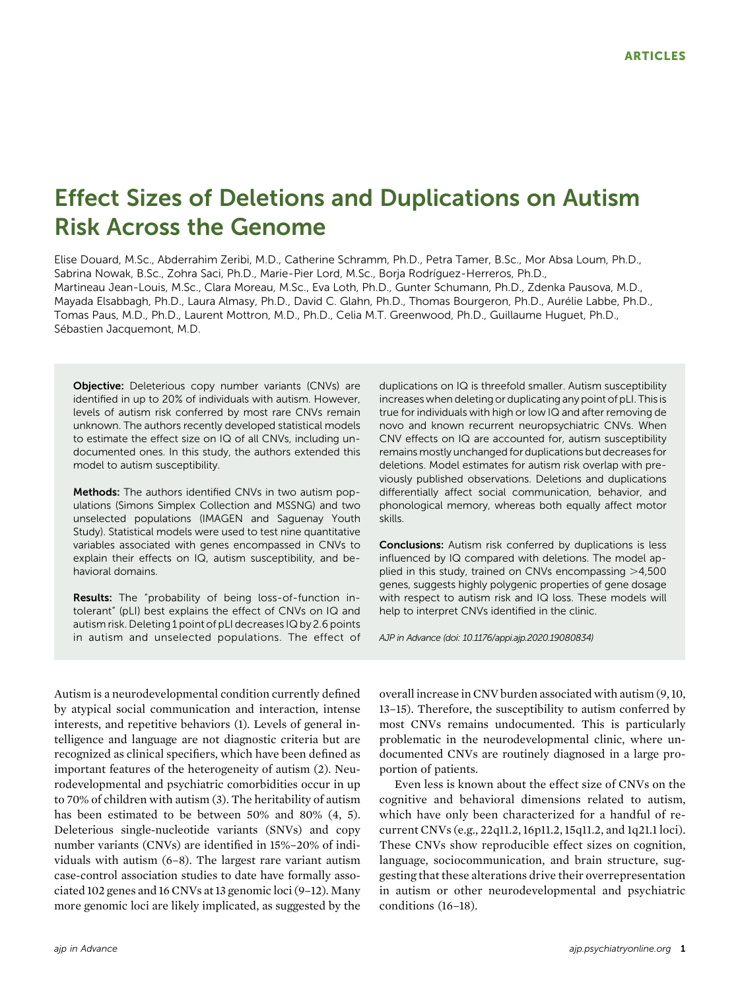# Effect Sizes of Deletions and Duplications on Autism Risk Across the Genome

Elise Douard, M.Sc., Abderrahim Zeribi, M.D., Catherine Schramm, Ph.D., Petra Tamer, B.Sc., Mor Absa Loum, Ph.D., Sabrina Nowak, B.Sc., Zohra Saci, Ph.D., Marie-Pier Lord, M.Sc., Borja Rodríguez-Herreros, Ph.D., Martineau Jean-Louis, M.Sc., Clara Moreau, M.Sc., Eva Loth, Ph.D., Gunter Schumann, Ph.D., Zdenka Pausova, M.D., Mayada Elsabbagh, Ph.D., Laura Almasy, Ph.D., David C. Glahn, Ph.D., Thomas Bourgeron, Ph.D., Aurélie Labbe, Ph.D., Tomas Paus, M.D., Ph.D., Laurent Mottron, M.D., Ph.D., Celia M.T. Greenwood, Ph.D., Guillaume Huguet, Ph.D., Sébastien Jacquemont, M.D.

**Objective:** Deleterious copy number variants (CNVs) are identified in up to 20% of individuals with autism. However, levels of autism risk conferred by most rare CNVs remain unknown. The authors recently developed statistical models to estimate the effect size on IQ of all CNVs, including undocumented ones. In this study, the authors extended this model to autism susceptibility.

Methods: The authors identified CNVs in two autism populations (Simons Simplex Collection and MSSNG) and two unselected populations (IMAGEN and Saguenay Youth Study). Statistical models were used to test nine quantitative variables associated with genes encompassed in CNVs to explain their effects on IQ, autism susceptibility, and behavioral domains.

Results: The "probability of being loss-of-function intolerant" (pLI) best explains the effect of CNVs on IQ and autism risk. Deleting 1 point of pLI decreases IQ by 2.6 points in autism and unselected populations. The effect of

Autism is a neurodevelopmental condition currently defined by atypical social communication and interaction, intense interests, and repetitive behaviors (1). Levels of general intelligence and language are not diagnostic criteria but are recognized as clinical specifiers, which have been defined as important features of the heterogeneity of autism (2). Neurodevelopmental and psychiatric comorbidities occur in up to 70% of children with autism (3). The heritability of autism has been estimated to be between 50% and 80% (4, 5). Deleterious single-nucleotide variants (SNVs) and copy number variants (CNVs) are identified in 15%–20% of individuals with autism (6–8). The largest rare variant autism case-control association studies to date have formally associated 102 genes and 16 CNVs at 13 genomic loci (9–12). Many more genomic loci are likely implicated, as suggested by the duplications on IQ is threefold smaller. Autism susceptibility increases when deleting or duplicating any point of pLI. This is true for individuals with high or low IQ and after removing de novo and known recurrent neuropsychiatric CNVs. When CNV effects on IQ are accounted for, autism susceptibility remains mostly unchanged for duplications but decreases for deletions. Model estimates for autism risk overlap with previously published observations. Deletions and duplications differentially affect social communication, behavior, and phonological memory, whereas both equally affect motor skills.

Conclusions: Autism risk conferred by duplications is less influenced by IQ compared with deletions. The model applied in this study, trained on CNVs encompassing  $>4,500$ genes, suggests highly polygenic properties of gene dosage with respect to autism risk and IQ loss. These models will help to interpret CNVs identified in the clinic.

*AJP in Advance (doi: 10.1176/appi.ajp.2020.19080834)*

overall increase in CNV burden associated with autism (9, 10, 13–15). Therefore, the susceptibility to autism conferred by most CNVs remains undocumented. This is particularly problematic in the neurodevelopmental clinic, where undocumented CNVs are routinely diagnosed in a large proportion of patients.

Even less is known about the effect size of CNVs on the cognitive and behavioral dimensions related to autism, which have only been characterized for a handful of recurrent CNVs (e.g., 22q11.2, 16p11.2, 15q11.2, and 1q21.1 loci). These CNVs show reproducible effect sizes on cognition, language, sociocommunication, and brain structure, suggesting that these alterations drive their overrepresentation in autism or other neurodevelopmental and psychiatric conditions (16–18).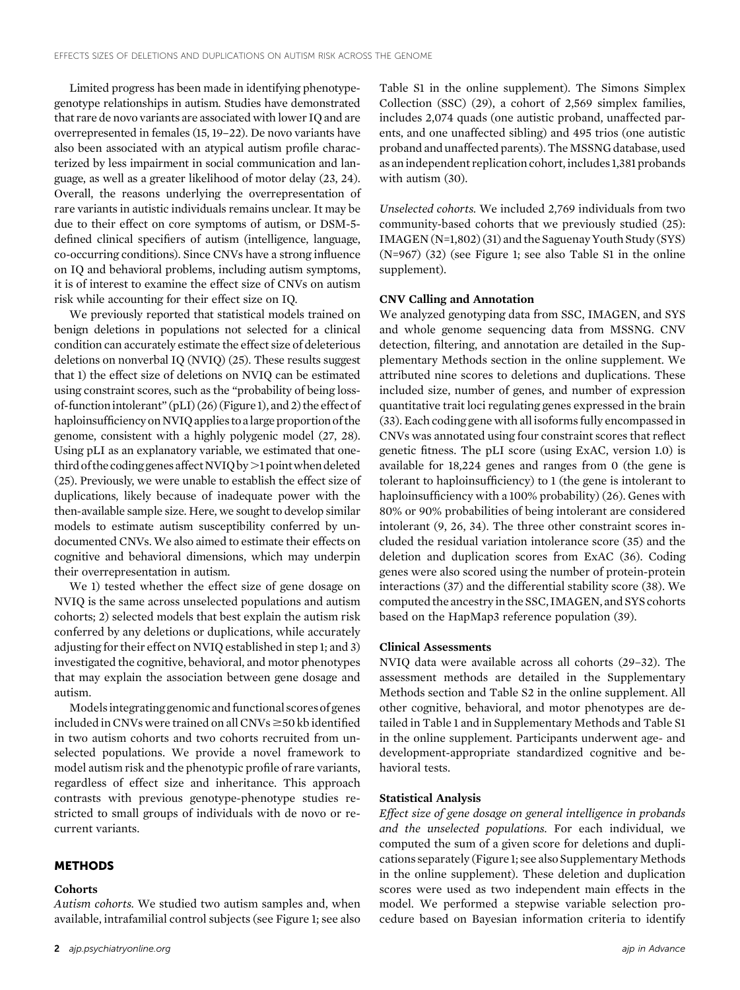Limited progress has been made in identifying phenotypegenotype relationships in autism. Studies have demonstrated that rare de novo variants are associated with lower IQ and are overrepresented in females (15, 19–22). De novo variants have also been associated with an atypical autism profile characterized by less impairment in social communication and language, as well as a greater likelihood of motor delay (23, 24). Overall, the reasons underlying the overrepresentation of rare variants in autistic individuals remains unclear. It may be due to their effect on core symptoms of autism, or DSM-5 defined clinical specifiers of autism (intelligence, language, co-occurring conditions). Since CNVs have a strong influence on IQ and behavioral problems, including autism symptoms, it is of interest to examine the effect size of CNVs on autism risk while accounting for their effect size on IQ.

We previously reported that statistical models trained on benign deletions in populations not selected for a clinical condition can accurately estimate the effect size of deleterious deletions on nonverbal IQ (NVIQ) (25). These results suggest that 1) the effect size of deletions on NVIQ can be estimated using constraint scores, such as the "probability of being lossof-functionintolerant" (pLI) (26) (Figure 1), and 2) the effect of haploinsufficiency on NVIQ applies to alarge proportion of the genome, consistent with a highly polygenic model (27, 28). Using pLI as an explanatory variable, we estimated that onethird of the coding genes affect NVIQ by >1 point when deleted (25). Previously, we were unable to establish the effect size of duplications, likely because of inadequate power with the then-available sample size. Here, we sought to develop similar models to estimate autism susceptibility conferred by undocumented CNVs. We also aimed to estimate their effects on cognitive and behavioral dimensions, which may underpin their overrepresentation in autism.

We 1) tested whether the effect size of gene dosage on NVIQ is the same across unselected populations and autism cohorts; 2) selected models that best explain the autism risk conferred by any deletions or duplications, while accurately adjusting for their effect on NVIQ established in step 1; and 3) investigated the cognitive, behavioral, and motor phenotypes that may explain the association between gene dosage and autism.

Modelsintegrating genomic and functional scores of genes included in CNVs were trained on all CNVs  $\geq$ 50 kb identified in two autism cohorts and two cohorts recruited from unselected populations. We provide a novel framework to model autism risk and the phenotypic profile of rare variants, regardless of effect size and inheritance. This approach contrasts with previous genotype-phenotype studies restricted to small groups of individuals with de novo or recurrent variants.

#### METHODS

#### **Cohorts**

Autism cohorts. We studied two autism samples and, when available, intrafamilial control subjects (see Figure 1; see also

2 *ajp.psychiatryonline.org ajp in Advance*

Table S1 in the online supplement). The Simons Simplex Collection (SSC) (29), a cohort of 2,569 simplex families, includes 2,074 quads (one autistic proband, unaffected parents, and one unaffected sibling) and 495 trios (one autistic proband and unaffected parents). The MSSNG database, used as an independent replication cohort, includes 1,381 probands with autism (30).

Unselected cohorts. We included 2,769 individuals from two community-based cohorts that we previously studied (25): IMAGEN (N=1,802) (31) and the Saguenay Youth Study (SYS) (N=967) (32) (see Figure 1; see also Table S1 in the online supplement).

#### CNV Calling and Annotation

We analyzed genotyping data from SSC, IMAGEN, and SYS and whole genome sequencing data from MSSNG. CNV detection, filtering, and annotation are detailed in the Supplementary Methods section in the online supplement. We attributed nine scores to deletions and duplications. These included size, number of genes, and number of expression quantitative trait loci regulating genes expressed in the brain (33). Each coding gene with all isoforms fully encompassed in CNVs was annotated using four constraint scores that reflect genetic fitness. The pLI score (using ExAC, version 1.0) is available for 18,224 genes and ranges from 0 (the gene is tolerant to haploinsufficiency) to 1 (the gene is intolerant to haploinsufficiency with a 100% probability) (26). Genes with 80% or 90% probabilities of being intolerant are considered intolerant (9, 26, 34). The three other constraint scores included the residual variation intolerance score (35) and the deletion and duplication scores from ExAC (36). Coding genes were also scored using the number of protein-protein interactions (37) and the differential stability score (38). We computed the ancestryin the SSC, IMAGEN, and SYS cohorts based on the HapMap3 reference population (39).

## Clinical Assessments

NVIQ data were available across all cohorts (29–32). The assessment methods are detailed in the Supplementary Methods section and Table S2 in the online supplement. All other cognitive, behavioral, and motor phenotypes are detailed in Table 1 and in Supplementary Methods and Table S1 in the online supplement. Participants underwent age- and development-appropriate standardized cognitive and behavioral tests.

## Statistical Analysis

Effect size of gene dosage on general intelligence in probands and the unselected populations. For each individual, we computed the sum of a given score for deletions and duplications separately (Figure 1; see also Supplementary Methods in the online supplement). These deletion and duplication scores were used as two independent main effects in the model. We performed a stepwise variable selection procedure based on Bayesian information criteria to identify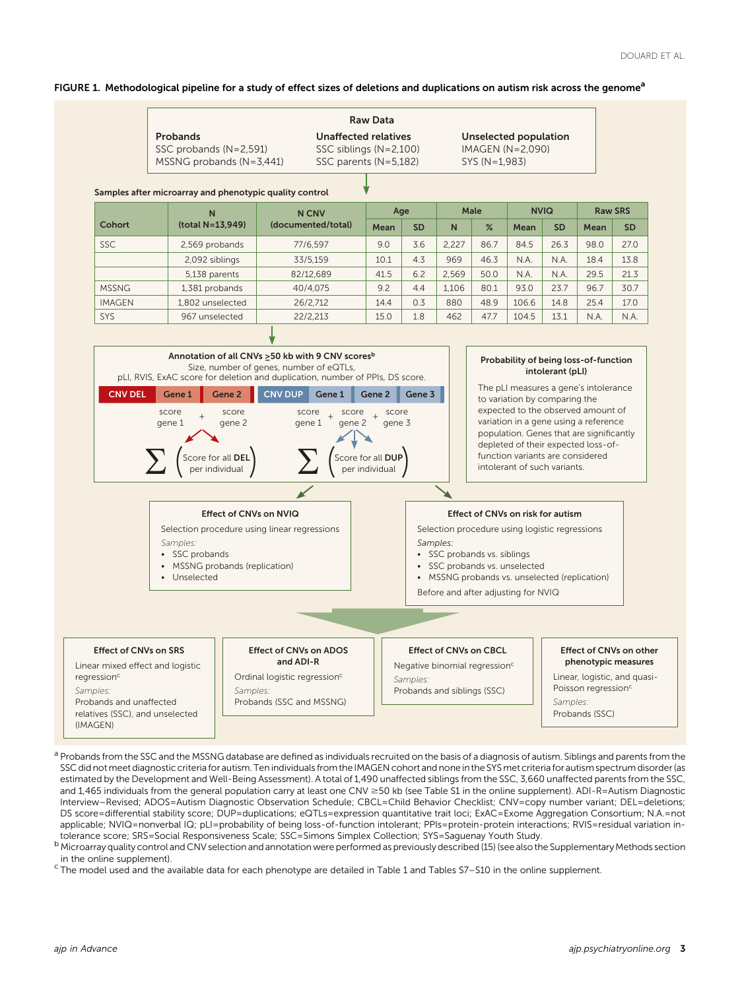## FIGURE 1. Methodological pipeline for a study of effect sizes of deletions and duplications on autism risk across the genome<sup>a</sup>

| <b>Raw Data</b>            |                          |                |  |  |  |  |
|----------------------------|--------------------------|----------------|--|--|--|--|
| <b>Probands</b>            | Unaffected relatives     | Unselected po  |  |  |  |  |
| SSC probands $(N=2,591)$   | SSC siblings $(N=2,100)$ | IMAGEN $(N=2)$ |  |  |  |  |
| MSSNG probands $(N=3,441)$ | SSC parents $(N=5.182)$  | SYS (N=1.983)  |  |  |  |  |

pulation 090)

#### Samples after microarray and phenotypic quality control

|               | N                | <b>N CNV</b>       | Age  |           | Male  |      | <b>NVIQ</b> |           | <b>Raw SRS</b> |           |
|---------------|------------------|--------------------|------|-----------|-------|------|-------------|-----------|----------------|-----------|
| Cohort        | (total N=13,949) | (documented/total) | Mean | <b>SD</b> | N     | %    | Mean        | <b>SD</b> | Mean           | <b>SD</b> |
| <b>SSC</b>    | 2,569 probands   | 77/6.597           | 9.0  | 3.6       | 2.227 | 86.7 | 84.5        | 26.3      | 98.0           | 27.0      |
|               | 2,092 siblings   | 33/5,159           | 10.1 | 4.3       | 969   | 46.3 | N.A         | N.A.      | 18.4           | 13.8      |
|               | 5,138 parents    | 82/12,689          | 41.5 | 6.2       | 2.569 | 50.0 | N.A.        | N.A.      | 29.5           | 21.3      |
| <b>MSSNG</b>  | 1,381 probands   | 40/4.075           | 9.2  | 4.4       | 1.106 | 80.1 | 93.0        | 23.7      | 96.7           | 30.7      |
| <b>IMAGEN</b> | 1.802 unselected | 26/2,712           | 14.4 | 0.3       | 880   | 48.9 | 106.6       | 14.8      | 25.4           | 17.0      |
| SYS           | 967 unselected   | 22/2,213           | 15.0 | 1.8       | 462   | 47.7 | 104.5       | 13.1      | N.A.           | N.A.      |
|               |                  |                    |      |           |       |      |             |           |                |           |



<sup>a</sup> Probands from the SSC and the MSSNG database are defined as individuals recruited on the basis of a diagnosis of autism. Siblings and parents from the SSC did notmeet diagnostic criteria for autism. Ten individuals from the IMAGEN cohort and none in the SYSmet criteria for autism spectrum disorder (as estimated by the Development and Well-Being Assessment). A total of 1,490 unaffected siblings from the SSC, 3,660 unaffected parents from the SSC, and 1,465 individuals from the general population carry at least one CNV ≥50 kb (see Table S1 in the online supplement). ADI-R=Autism Diagnostic Interview–Revised; ADOS=Autism Diagnostic Observation Schedule; CBCL=Child Behavior Checklist; CNV=copy number variant; DEL=deletions; DS score=differential stability score; DUP=duplications; eQTLs=expression quantitative trait loci; ExAC=Exome Aggregation Consortium; N.A.=not applicable; NVIQ=nonverbal IQ; pLI=probability of being loss-of-function intolerant; PPIs=protein-protein interactions; RVIS=residual variation intolerance score; SRS=Social Responsiveness Scale; SSC=Simons Simplex Collection; SYS=Saguenay Youth Study.

<sup>b</sup> Microarray quality control and CNV selection and annotation were performed as previously described (15) (see also the Supplementary Methods section in the online supplement).

<sup>c</sup> The model used and the available data for each phenotype are detailed in Table 1 and Tables S7–S10 in the online supplement.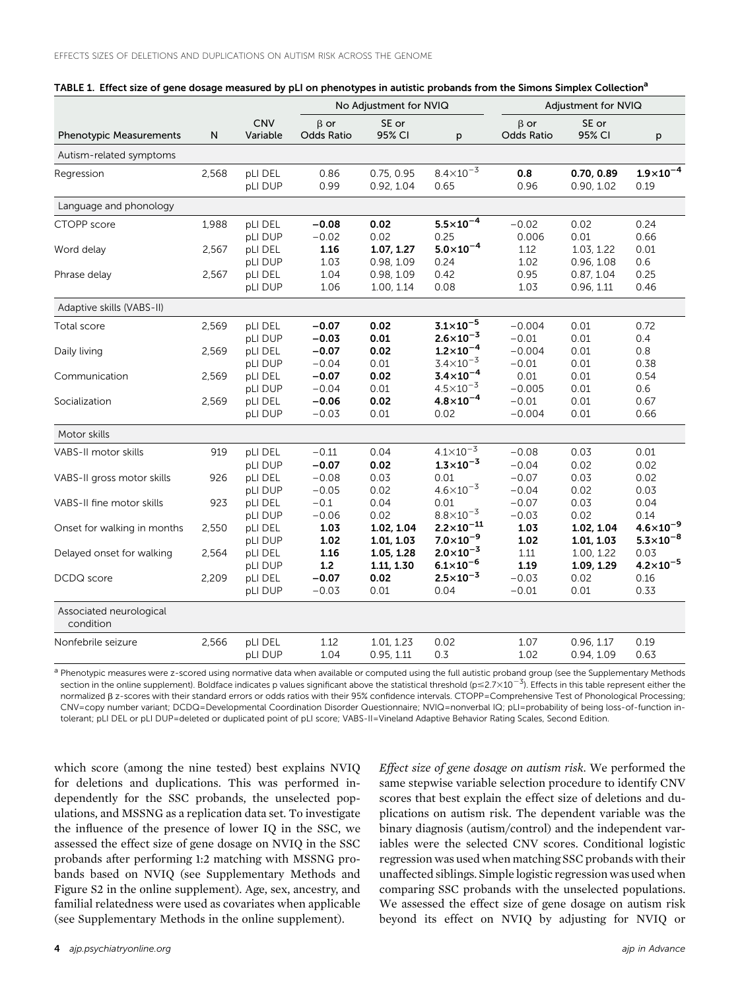|                                      | N     | <b>CNV</b><br>Variable | No Adjustment for NVIQ          |                          |                                               | Adjustment for NVIQ      |                          |                                              |
|--------------------------------------|-------|------------------------|---------------------------------|--------------------------|-----------------------------------------------|--------------------------|--------------------------|----------------------------------------------|
| <b>Phenotypic Measurements</b>       |       |                        | $\beta$ or<br><b>Odds Ratio</b> | SE or<br>95% CI          | p                                             | $\beta$ or<br>Odds Ratio | SE or<br>95% CI          | p                                            |
| Autism-related symptoms              |       |                        |                                 |                          |                                               |                          |                          |                                              |
| Regression                           | 2,568 | pLI DEL<br>pLI DUP     | 0.86<br>0.99                    | 0.75, 0.95<br>0.92, 1.04 | $8.4 \times 10^{-3}$<br>0.65                  | 0.8<br>0.96              | 0.70, 0.89<br>0.90, 1.02 | $1.9 \times 10^{-4}$<br>0.19                 |
| Language and phonology               |       |                        |                                 |                          |                                               |                          |                          |                                              |
| CTOPP score                          | 1,988 | pLI DEL<br>pLI DUP     | $-0.08$<br>$-0.02$              | 0.02<br>0.02             | $5.5 \times 10^{-4}$<br>0.25                  | $-0.02$<br>0.006         | 0.02<br>0.01             | 0.24<br>0.66                                 |
| Word delay                           | 2,567 | pLI DEL<br>pLI DUP     | 1.16<br>1.03                    | 1.07, 1.27<br>0.98, 1.09 | $5.0 \times 10^{-4}$<br>0.24                  | 1.12<br>1.02             | 1.03, 1.22<br>0.96, 1.08 | 0.01<br>0.6                                  |
| Phrase delay                         | 2,567 | pLI DEL<br>pLI DUP     | 1.04<br>1.06                    | 0.98, 1.09<br>1.00, 1.14 | 0.42<br>0.08                                  | 0.95<br>1.03             | 0.87, 1.04<br>0.96, 1.11 | 0.25<br>0.46                                 |
| Adaptive skills (VABS-II)            |       |                        |                                 |                          |                                               |                          |                          |                                              |
| Total score                          | 2,569 | pLI DEL<br>pLI DUP     | $-0.07$<br>$-0.03$              | 0.02<br>0.01             | $3.1 \times 10^{-5}$<br>$2.6 \times 10^{-3}$  | $-0.004$<br>$-0.01$      | 0.01<br>0.01             | 0.72<br>0.4                                  |
| Daily living                         | 2,569 | pLI DEL<br>pLI DUP     | $-0.07$<br>$-0.04$              | 0.02<br>0.01             | $1.2 \times 10^{-4}$<br>$3.4 \times 10^{-3}$  | $-0.004$<br>$-0.01$      | 0.01<br>0.01             | 0.8<br>0.38                                  |
| Communication                        | 2,569 | pLI DEL<br>pLI DUP     | $-0.07$<br>$-0.04$              | 0.02<br>0.01             | $3.4 \times 10^{-4}$<br>$4.5 \times 10^{-3}$  | 0.01<br>$-0.005$         | 0.01<br>0.01             | 0.54<br>0.6                                  |
| Socialization                        | 2,569 | pLI DEL<br>pLI DUP     | $-0.06$<br>$-0.03$              | 0.02<br>0.01             | $4.8 \times 10^{-4}$<br>0.02                  | $-0.01$<br>$-0.004$      | 0.01<br>0.01             | 0.67<br>0.66                                 |
| Motor skills                         |       |                        |                                 |                          |                                               |                          |                          |                                              |
| VABS-II motor skills                 | 919   | pLI DEL<br>pLI DUP     | $-0.11$<br>$-0.07$              | 0.04<br>0.02             | $4.1 \times 10^{-3}$<br>$1.3 \times 10^{-3}$  | $-0.08$<br>$-0.04$       | 0.03<br>0.02             | 0.01<br>0.02                                 |
| VABS-II gross motor skills           | 926   | pLI DEL<br>pLI DUP     | $-0.08$<br>$-0.05$              | 0.03<br>0.02             | 0.01<br>$4.6 \times 10^{-3}$                  | $-0.07$<br>$-0.04$       | 0.03<br>0.02             | 0.02<br>0.03                                 |
| VABS-II fine motor skills            | 923   | pLI DEL<br>pLI DUP     | $-0.1$<br>$-0.06$               | 0.04<br>0.02             | 0.01<br>$8.8 \times 10^{-3}$                  | $-0.07$<br>$-0.03$       | 0.03<br>0.02             | 0.04<br>0.14                                 |
| Onset for walking in months          | 2,550 | pLI DEL<br>pLI DUP     | 1.03<br>1.02                    | 1.02, 1.04<br>1.01, 1.03 | $2.2 \times 10^{-11}$<br>$7.0 \times 10^{-9}$ | 1.03<br>1.02             | 1.02, 1.04<br>1.01, 1.03 | $4.6 \times 10^{-9}$<br>$5.3 \times 10^{-8}$ |
| Delayed onset for walking            | 2,564 | pLI DEL<br>pLI DUP     | 1.16<br>1.2                     | 1.05, 1.28<br>1.11, 1.30 | $2.0 \times 10^{-3}$<br>$6.1 \times 10^{-6}$  | $1.11$<br>1.19           | 1.00, 1.22<br>1.09, 1.29 | 0.03<br>$4.2 \times 10^{-5}$                 |
| DCDQ score                           | 2,209 | pLI DEL<br>pLI DUP     | $-0.07$<br>$-0.03$              | 0.02<br>0.01             | $2.5 \times 10^{-3}$<br>0.04                  | $-0.03$<br>$-0.01$       | 0.02<br>0.01             | 0.16<br>0.33                                 |
| Associated neurological<br>condition |       |                        |                                 |                          |                                               |                          |                          |                                              |
| Nonfebrile seizure                   | 2,566 | pLI DEL<br>pLI DUP     | 1.12<br>1.04                    | 1.01, 1.23<br>0.95, 1.11 | 0.02<br>0.3                                   | 1.07<br>1.02             | 0.96, 1.17<br>0.94, 1.09 | 0.19<br>0.63                                 |

|  |  | TABLE 1. Effect size of gene dosage measured by pLI on phenotypes in autistic probands from the Simons Simplex Collection <sup>a</sup> |
|--|--|----------------------------------------------------------------------------------------------------------------------------------------|
|  |  |                                                                                                                                        |

<sup>a</sup> Phenotypic measures were z-scored using normative data when available or computed using the full autistic proband group (see the Supplementary Methods section in the online supplement). Boldface indicates p values significant above the statistical threshold (p $\leq$ 2.7 $\times$ 10<sup>23</sup>). Effects in this table represent either the normalized  $\beta$  z-scores with their standard errors or odds ratios with their 95% confidence intervals. CTOPP=Comprehensive Test of Phonological Processing; CNV=copy number variant; DCDQ=Developmental Coordination Disorder Questionnaire; NVIQ=nonverbal IQ; pLI=probability of being loss-of-function intolerant; pLI DEL or pLI DUP=deleted or duplicated point of pLI score; VABS-II=Vineland Adaptive Behavior Rating Scales, Second Edition.

which score (among the nine tested) best explains NVIQ for deletions and duplications. This was performed independently for the SSC probands, the unselected populations, and MSSNG as a replication data set. To investigate the influence of the presence of lower IQ in the SSC, we assessed the effect size of gene dosage on NVIQ in the SSC probands after performing 1:2 matching with MSSNG probands based on NVIQ (see Supplementary Methods and Figure S2 in the online supplement). Age, sex, ancestry, and familial relatedness were used as covariates when applicable (see Supplementary Methods in the online supplement).

Effect size of gene dosage on autism risk. We performed the same stepwise variable selection procedure to identify CNV scores that best explain the effect size of deletions and duplications on autism risk. The dependent variable was the binary diagnosis (autism/control) and the independent variables were the selected CNV scores. Conditional logistic regression was used when matching SSC probands with their unaffected siblings. Simple logistic regression was used when comparing SSC probands with the unselected populations. We assessed the effect size of gene dosage on autism risk beyond its effect on NVIQ by adjusting for NVIQ or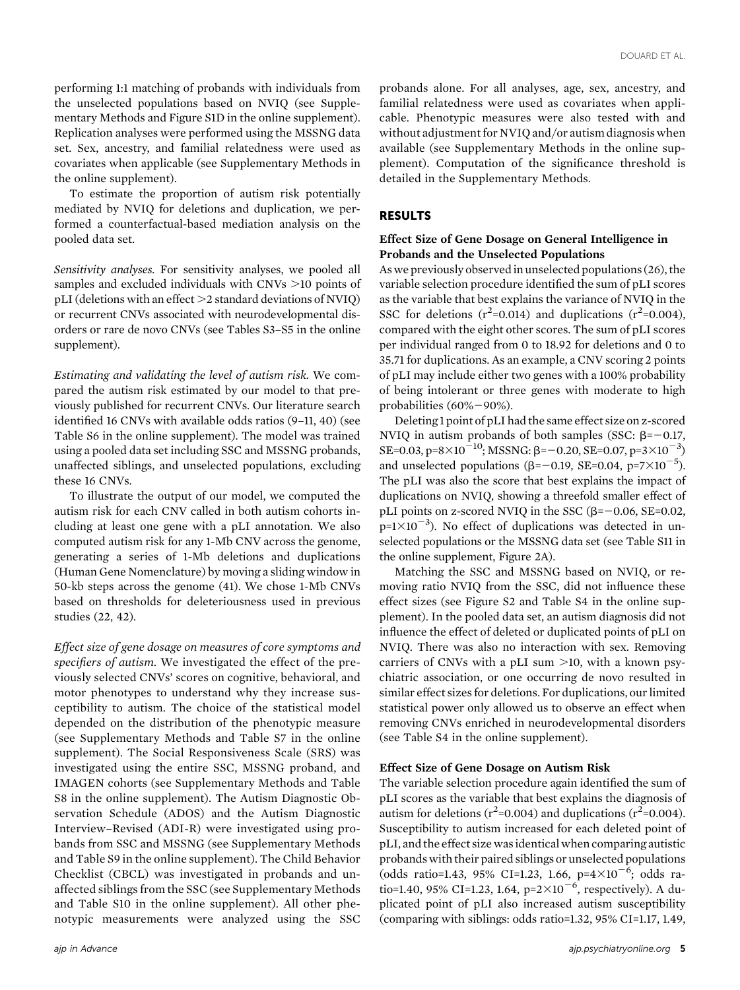performing 1:1 matching of probands with individuals from the unselected populations based on NVIQ (see Supplementary Methods and Figure S1D in the online supplement). Replication analyses were performed using the MSSNG data set. Sex, ancestry, and familial relatedness were used as covariates when applicable (see Supplementary Methods in the online supplement).

To estimate the proportion of autism risk potentially mediated by NVIQ for deletions and duplication, we performed a counterfactual-based mediation analysis on the pooled data set.

Sensitivity analyses. For sensitivity analyses, we pooled all samples and excluded individuals with  $CNVs >10$  points of  $pLI$  (deletions with an effect  $\geq$ 2 standard deviations of NVIQ) or recurrent CNVs associated with neurodevelopmental disorders or rare de novo CNVs (see Tables S3–S5 in the online supplement).

Estimating and validating the level of autism risk. We compared the autism risk estimated by our model to that previously published for recurrent CNVs. Our literature search identified 16 CNVs with available odds ratios (9–11, 40) (see Table S6 in the online supplement). The model was trained using a pooled data set including SSC and MSSNG probands, unaffected siblings, and unselected populations, excluding these 16 CNVs.

To illustrate the output of our model, we computed the autism risk for each CNV called in both autism cohorts including at least one gene with a pLI annotation. We also computed autism risk for any 1-Mb CNV across the genome, generating a series of 1-Mb deletions and duplications (Human Gene Nomenclature) by moving a sliding window in 50-kb steps across the genome (41). We chose 1-Mb CNVs based on thresholds for deleteriousness used in previous studies (22, 42).

Effect size of gene dosage on measures of core symptoms and specifiers of autism. We investigated the effect of the previously selected CNVs' scores on cognitive, behavioral, and motor phenotypes to understand why they increase susceptibility to autism. The choice of the statistical model depended on the distribution of the phenotypic measure (see Supplementary Methods and Table S7 in the online supplement). The Social Responsiveness Scale (SRS) was investigated using the entire SSC, MSSNG proband, and IMAGEN cohorts (see Supplementary Methods and Table S8 in the online supplement). The Autism Diagnostic Observation Schedule (ADOS) and the Autism Diagnostic Interview–Revised (ADI-R) were investigated using probands from SSC and MSSNG (see Supplementary Methods and Table S9 in the online supplement). The Child Behavior Checklist (CBCL) was investigated in probands and unaffected siblings from the SSC (see Supplementary Methods and Table S10 in the online supplement). All other phenotypic measurements were analyzed using the SSC

probands alone. For all analyses, age, sex, ancestry, and familial relatedness were used as covariates when applicable. Phenotypic measures were also tested with and without adjustment for NVIQ and/or autism diagnosis when available (see Supplementary Methods in the online supplement). Computation of the significance threshold is detailed in the Supplementary Methods.

# RESULTS

## Effect Size of Gene Dosage on General Intelligence in Probands and the Unselected Populations

As we previously observedin unselected populations (26), the variable selection procedure identified the sum of pLI scores as the variable that best explains the variance of NVIQ in the SSC for deletions  $(r^2=0.014)$  and duplications  $(r^2=0.004)$ , compared with the eight other scores. The sum of pLI scores per individual ranged from 0 to 18.92 for deletions and 0 to 35.71 for duplications. As an example, a CNV scoring 2 points of pLI may include either two genes with a 100% probability of being intolerant or three genes with moderate to high probabilities  $(60\% - 90\%)$ .

Deleting 1 point of pLI had the same effect size on z-scored NVIQ in autism probands of both samples (SSC:  $\beta = -0.17$ , SE=0.03, p=8×10<sup>-10</sup>; MSSNG:  $\beta$ =-0.20, SE=0.07, p=3×10<sup>-3</sup>) and unselected populations  $(\beta = -0.19, \text{ SE} = 0.04, \text{ p} = 7 \times 10^{-5})$ . The pLI was also the score that best explains the impact of duplications on NVIQ, showing a threefold smaller effect of pLI points on z-scored NVIQ in the SSC  $(\beta=-0.06, SE=0.02,$  $p=1\times10^{-3}$ ). No effect of duplications was detected in unselected populations or the MSSNG data set (see Table S11 in the online supplement, Figure 2A).

Matching the SSC and MSSNG based on NVIQ, or removing ratio NVIQ from the SSC, did not influence these effect sizes (see Figure S2 and Table S4 in the online supplement). In the pooled data set, an autism diagnosis did not influence the effect of deleted or duplicated points of pLI on NVIQ. There was also no interaction with sex. Removing carriers of CNVs with a pLI sum  $>10$ , with a known psychiatric association, or one occurring de novo resulted in similar effect sizes for deletions. For duplications, our limited statistical power only allowed us to observe an effect when removing CNVs enriched in neurodevelopmental disorders (see Table S4 in the online supplement).

#### Effect Size of Gene Dosage on Autism Risk

The variable selection procedure again identified the sum of pLI scores as the variable that best explains the diagnosis of autism for deletions ( $r^2$ =0.004) and duplications ( $r^2$ =0.004). Susceptibility to autism increased for each deleted point of pLI, and the effect size was identical when comparing autistic probands with their paired siblings or unselected populations (odds ratio=1.43, 95% CI=1.23, 1.66,  $p=4\times10^{-6}$ ; odds ratio=1.40, 95% CI=1.23, 1.64,  $p=2\times10^{-6}$ , respectively). A duplicated point of pLI also increased autism susceptibility (comparing with siblings: odds ratio=1.32, 95% CI=1.17, 1.49,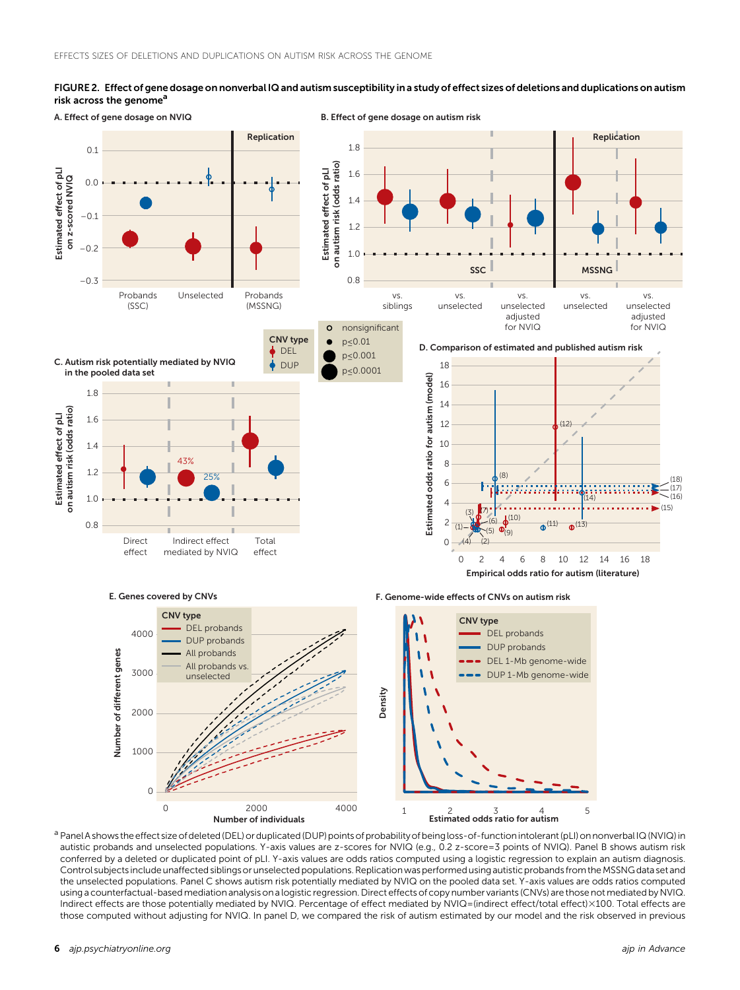## FIGURE 2. Effect of gene dosage on nonverbal IQ and autism susceptibility in a study of effect sizes of deletions and duplications on autism risk across the genome<sup>a</sup>



<sup>a</sup> Panel A shows the effect size of deleted (DEL) or duplicated (DUP) points of probability of being loss-of-function intolerant (pLI) on nonverbal IQ (NVIQ) in autistic probands and unselected populations. Y-axis values are z-scores for NVIQ (e.g., 0.2 z-score=3 points of NVIQ). Panel B shows autism risk conferred by a deleted or duplicated point of pLI. Y-axis values are odds ratios computed using a logistic regression to explain an autism diagnosis. Control subjects include unaffected siblings or unselected populations. Replication was performed using autistic probands from the MSSNG data set and the unselected populations. Panel C shows autism risk potentially mediated by NVIQ on the pooled data set. Y-axis values are odds ratios computed using a counterfactual-based mediation analysis on a logistic regression. Direct effects of copy number variants (CNVs) are those not mediated by NVIQ. Indirect effects are those potentially mediated by NVIQ. Percentage of effect mediated by NVIQ=(indirect effect/total effect)×100. Total effects are those computed without adjusting for NVIQ. In panel D, we compared the risk of autism estimated by our model and the risk observed in previous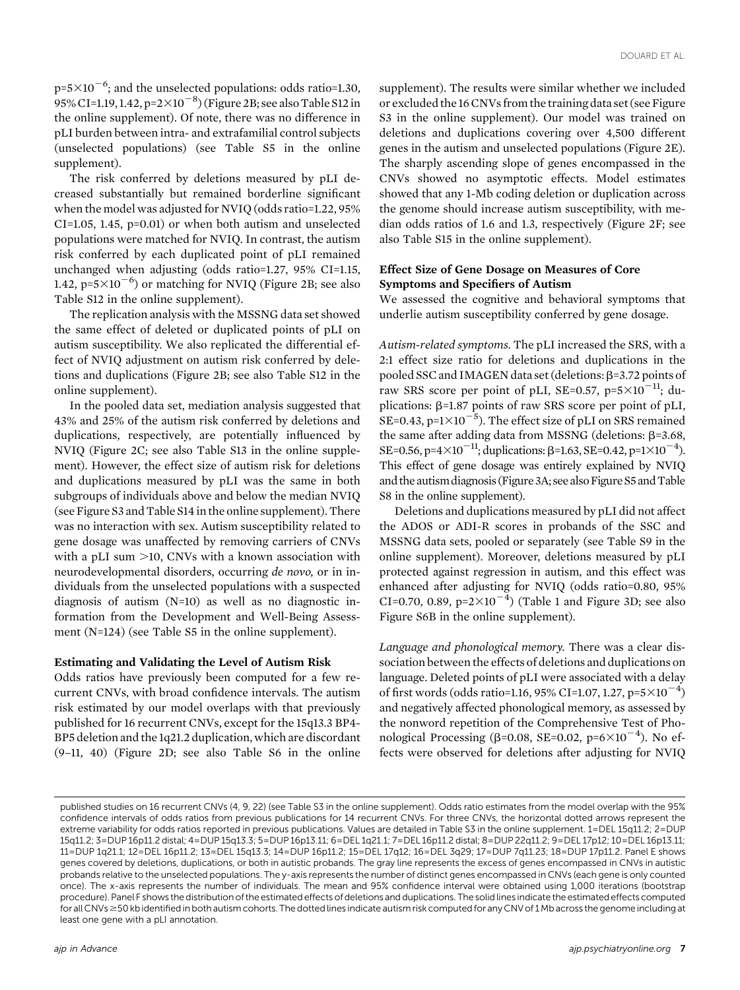$p=5\times10^{-6}$ ; and the unselected populations: odds ratio=1.30, 95% CI=1.19, 1.42,  $p=2\times10^{-8}$ ) (Figure 2B; see also Table S12 in the online supplement). Of note, there was no difference in pLI burden between intra- and extrafamilial control subjects (unselected populations) (see Table S5 in the online supplement).

The risk conferred by deletions measured by pLI decreased substantially but remained borderline significant when the model was adjusted for NVIQ (odds ratio=1.22, 95% CI=1.05, 1.45, p=0.01) or when both autism and unselected populations were matched for NVIQ. In contrast, the autism risk conferred by each duplicated point of pLI remained unchanged when adjusting (odds ratio=1.27, 95% CI=1.15,  $1.42$ ,  $p=5\times10^{-6}$ ) or matching for NVIQ (Figure 2B; see also Table S12 in the online supplement).

The replication analysis with the MSSNG data set showed the same effect of deleted or duplicated points of pLI on autism susceptibility. We also replicated the differential effect of NVIQ adjustment on autism risk conferred by deletions and duplications (Figure 2B; see also Table S12 in the online supplement).

In the pooled data set, mediation analysis suggested that 43% and 25% of the autism risk conferred by deletions and duplications, respectively, are potentially influenced by NVIQ (Figure 2C; see also Table S13 in the online supplement). However, the effect size of autism risk for deletions and duplications measured by pLI was the same in both subgroups of individuals above and below the median NVIQ (see Figure S3 and Table S14 in the online supplement). There was no interaction with sex. Autism susceptibility related to gene dosage was unaffected by removing carriers of CNVs with a pLI sum  $>10$ , CNVs with a known association with neurodevelopmental disorders, occurring de novo, or in individuals from the unselected populations with a suspected diagnosis of autism (N=10) as well as no diagnostic information from the Development and Well-Being Assessment (N=124) (see Table S5 in the online supplement).

## Estimating and Validating the Level of Autism Risk

Odds ratios have previously been computed for a few recurrent CNVs, with broad confidence intervals. The autism risk estimated by our model overlaps with that previously published for 16 recurrent CNVs, except for the 15q13.3 BP4- BP5 deletion and the 1q21.2 duplication, which are discordant (9–11, 40) (Figure 2D; see also Table S6 in the online

supplement). The results were similar whether we included or excluded the 16 CNVs from the training data set (see Figure S3 in the online supplement). Our model was trained on deletions and duplications covering over 4,500 different genes in the autism and unselected populations (Figure 2E). The sharply ascending slope of genes encompassed in the CNVs showed no asymptotic effects. Model estimates showed that any 1-Mb coding deletion or duplication across the genome should increase autism susceptibility, with median odds ratios of 1.6 and 1.3, respectively (Figure 2F; see also Table S15 in the online supplement).

# Effect Size of Gene Dosage on Measures of Core Symptoms and Specifiers of Autism

We assessed the cognitive and behavioral symptoms that underlie autism susceptibility conferred by gene dosage.

Autism-related symptoms. The pLI increased the SRS, with a 2:1 effect size ratio for deletions and duplications in the pooled SSC and IMAGEN data set (deletions:  $\beta$ =3.72 points of raw SRS score per point of pLI, SE=0.57, p=5 $\times$ 10<sup>-11</sup>; duplications:  $\beta$ =1.87 points of raw SRS score per point of pLI, SE=0.43,  $p=1\times10^{-5}$ ). The effect size of pLI on SRS remained the same after adding data from MSSNG (deletions:  $\beta$ =3.68, SE=0.56, p=4×10<sup>-11</sup>; duplications:  $\beta$ =1.63, SE=0.42, p=1×10<sup>-4</sup>). This effect of gene dosage was entirely explained by NVIQ and the autism diagnosis (Figure 3A; see also Figure S5 and Table S8 in the online supplement).

Deletions and duplications measured by pLI did not affect the ADOS or ADI-R scores in probands of the SSC and MSSNG data sets, pooled or separately (see Table S9 in the online supplement). Moreover, deletions measured by pLI protected against regression in autism, and this effect was enhanced after adjusting for NVIQ (odds ratio=0.80, 95% CI=0.70, 0.89,  $p=2\times10^{-4}$ ) (Table 1 and Figure 3D; see also Figure S6B in the online supplement).

Language and phonological memory. There was a clear dissociation between the effects of deletions and duplications on language. Deleted points of pLI were associated with a delay of first words (odds ratio=1.16, 95% CI=1.07, 1.27,  $p=5\times10^{-4}$ ) and negatively affected phonological memory, as assessed by the nonword repetition of the Comprehensive Test of Phonological Processing  $(\beta=0.08, SE=0.02, p=6\times10^{-4})$ . No effects were observed for deletions after adjusting for NVIQ

published studies on 16 recurrent CNVs (4, 9, 22) (see Table S3 in the online supplement). Odds ratio estimates from the model overlap with the 95% confidence intervals of odds ratios from previous publications for 14 recurrent CNVs. For three CNVs, the horizontal dotted arrows represent the extreme variability for odds ratios reported in previous publications. Values are detailed in Table S3 in the online supplement. 1=DEL 15q11.2; 2=DUP 15q11.2; 3=DUP 16p11.2 distal; 4=DUP 15q13.3; 5=DUP 16p13.11; 6=DEL 1q21.1; 7=DEL 16p11.2 distal; 8=DUP 22q11.2; 9=DEL 17p12; 10=DEL 16p13.11; 11=DUP 1q21.1; 12=DEL 16p11.2; 13=DEL 15q13.3; 14=DUP 16p11.2; 15=DEL 17q12; 16=DEL 3q29; 17=DUP 7q11.23; 18=DUP 17p11.2. Panel E shows genes covered by deletions, duplications, or both in autistic probands. The gray line represents the excess of genes encompassed in CNVs in autistic probands relative to the unselected populations. The y-axis represents the number of distinct genes encompassed in CNVs (each gene is only counted once). The x-axis represents the number of individuals. The mean and 95% confidence interval were obtained using 1,000 iterations (bootstrap procedure). Panel F shows the distribution of the estimated effects of deletions and duplications. The solid lines indicate the estimated effects computed for all CNVs  $\geq$ 50 kb identified in both autism cohorts. The dotted lines indicate autism risk computed for any CNV of 1 Mb across the genome including at least one gene with a pLI annotation.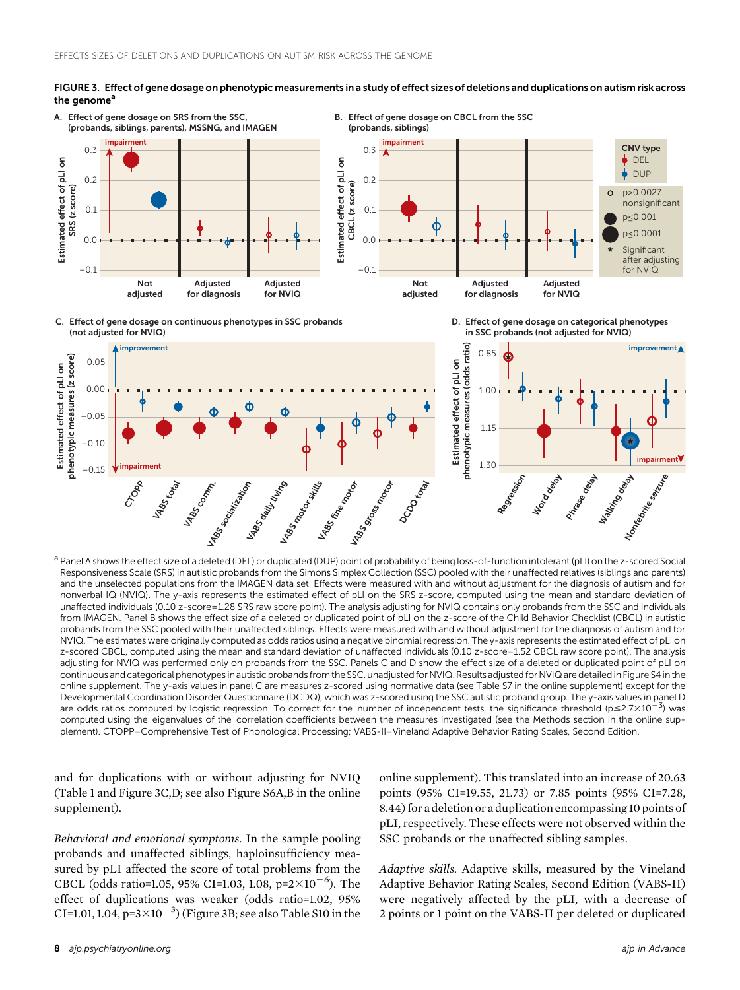



B. Effect of gene dosage on CBCL from the SSC



D. Effect of gene dosage on categorical phenotypes in SSC probands (not adjusted for NVIQ)

C. Effect of gene dosage on continuous phenotypes in SSC probands (not adjusted for NVIQ)



<sup>a</sup> Panel A shows the effect size of a deleted (DEL) or duplicated (DUP) point of probability of being loss-of-function intolerant (pLI) on the z-scored Social Responsiveness Scale (SRS) in autistic probands from the Simons Simplex Collection (SSC) pooled with their unaffected relatives (siblings and parents) and the unselected populations from the IMAGEN data set. Effects were measured with and without adjustment for the diagnosis of autism and for nonverbal IQ (NVIQ). The y-axis represents the estimated effect of pLI on the SRS z-score, computed using the mean and standard deviation of unaffected individuals (0.10 z-score=1.28 SRS raw score point). The analysis adjusting for NVIQ contains only probands from the SSC and individuals from IMAGEN. Panel B shows the effect size of a deleted or duplicated point of pLI on the z-score of the Child Behavior Checklist (CBCL) in autistic probands from the SSC pooled with their unaffected siblings. Effects were measured with and without adjustment for the diagnosis of autism and for NVIQ. The estimates were originally computed as odds ratios using a negative binomial regression. The y-axis represents the estimated effect of pLI on z-scored CBCL, computed using the mean and standard deviation of unaffected individuals (0.10 z-score=1.52 CBCL raw score point). The analysis adjusting for NVIQ was performed only on probands from the SSC. Panels C and D show the effect size of a deleted or duplicated point of pLI on continuous and categorical phenotypes in autistic probands from the SSC, unadjusted for NVIQ. Results adjusted for NVIQ are detailed in Figure S4 in the online supplement. The y-axis values in panel C are measures z-scored using normative data (see Table S7 in the online supplement) except for the Developmental Coordination Disorder Questionnaire (DCDQ), which was z-scored using the SSC autistic proband group. The y-axis values in panel D are odds ratios computed by logistic regression. To correct for the number of independent tests, the significance threshold  $(p \le 2.7 \times 10^{-3})$  was computed using the eigenvalues of the correlation coefficients between the measures investigated (see the Methods section in the online supplement). CTOPP=Comprehensive Test of Phonological Processing; VABS-II=Vineland Adaptive Behavior Rating Scales, Second Edition.

and for duplications with or without adjusting for NVIQ (Table 1 and Figure 3C,D; see also Figure S6A,B in the online supplement).

Behavioral and emotional symptoms. In the sample pooling probands and unaffected siblings, haploinsufficiency measured by pLI affected the score of total problems from the CBCL (odds ratio=1.05, 95% CI=1.03, 1.08,  $p=2\times10^{-6}$ ). The effect of duplications was weaker (odds ratio=1.02, 95% CI=1.01, 1.04,  $p=3\times10^{-3}$ ) (Figure 3B; see also Table S10 in the

online supplement). This translated into an increase of 20.63 points (95% CI=19.55, 21.73) or 7.85 points (95% CI=7.28, 8.44) for a deletion or a duplication encompassing 10 points of pLI, respectively. These effects were not observed within the SSC probands or the unaffected sibling samples.

Adaptive skills. Adaptive skills, measured by the Vineland Adaptive Behavior Rating Scales, Second Edition (VABS-II) were negatively affected by the pLI, with a decrease of 2 points or 1 point on the VABS-II per deleted or duplicated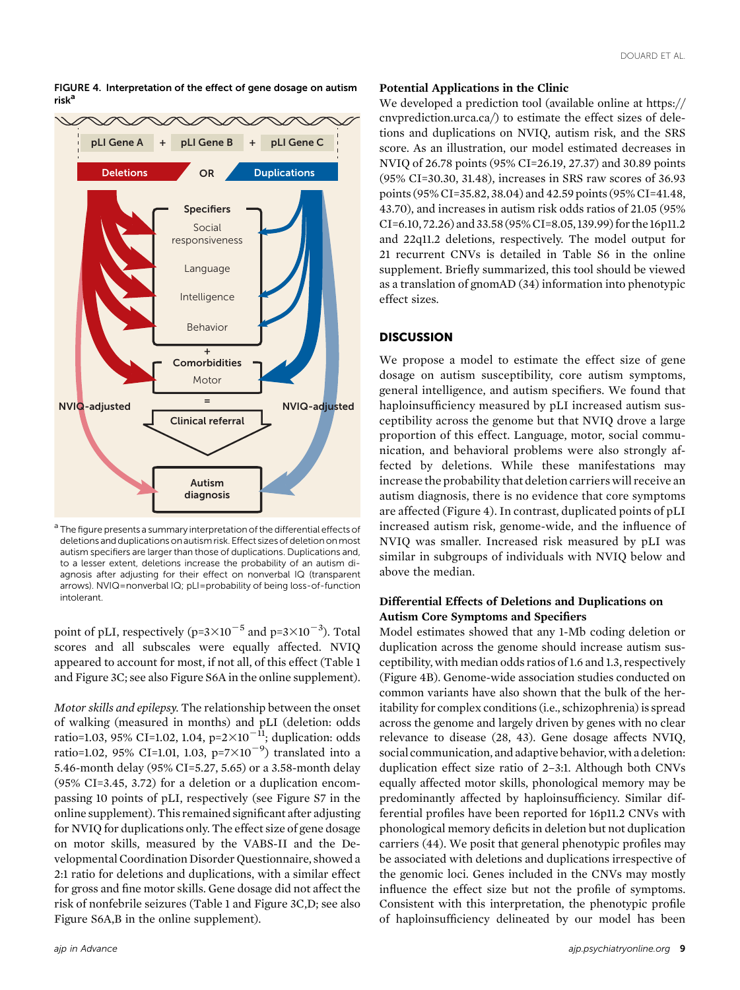

FIGURE 4. Interpretation of the effect of gene dosage on autism risk<sup>a</sup>

<sup>a</sup> The figure presents a summary interpretation of the differential effects of deletions and duplications on autism risk. Effect sizes of deletion on most autism specifiers are larger than those of duplications. Duplications and, to a lesser extent, deletions increase the probability of an autism diagnosis after adjusting for their effect on nonverbal IQ (transparent arrows). NVIQ=nonverbal IQ; pLI=probability of being loss-of-function intolerant.

point of pLI, respectively (p=3 $\times10^{-5}$  and p=3 $\times10^{-3}$ ). Total scores and all subscales were equally affected. NVIQ appeared to account for most, if not all, of this effect (Table 1 and Figure 3C; see also Figure S6A in the online supplement).

Motor skills and epilepsy. The relationship between the onset of walking (measured in months) and pLI (deletion: odds ratio=1.03, 95% CI=1.02, 1.04,  $p=2\times10^{-11}$ ; duplication: odds ratio=1.02, 95% CI=1.01, 1.03, p=7×10<sup>-9</sup>) translated into a 5.46-month delay (95% CI=5.27, 5.65) or a 3.58-month delay (95% CI=3.45, 3.72) for a deletion or a duplication encompassing 10 points of pLI, respectively (see Figure S7 in the online supplement). This remained significant after adjusting for NVIQ for duplications only. The effect size of gene dosage on motor skills, measured by the VABS-II and the Developmental Coordination Disorder Questionnaire, showed a 2:1 ratio for deletions and duplications, with a similar effect for gross and fine motor skills. Gene dosage did not affect the risk of nonfebrile seizures (Table 1 and Figure 3C,D; see also Figure S6A,B in the online supplement).

# Potential Applications in the Clinic

We developed a prediction tool (available online at https:// cnvprediction.urca.ca/) to estimate the effect sizes of deletions and duplications on NVIQ, autism risk, and the SRS score. As an illustration, our model estimated decreases in NVIQ of 26.78 points (95% CI=26.19, 27.37) and 30.89 points (95% CI=30.30, 31.48), increases in SRS raw scores of 36.93 points (95% CI=35.82, 38.04) and 42.59 points (95% CI=41.48, 43.70), and increases in autism risk odds ratios of 21.05 (95% CI=6.10, 72.26) and 33.58 (95%CI=8.05, 139.99) for the 16p11.2 and 22q11.2 deletions, respectively. The model output for 21 recurrent CNVs is detailed in Table S6 in the online supplement. Briefly summarized, this tool should be viewed as a translation of gnomAD (34) information into phenotypic effect sizes.

# **DISCUSSION**

We propose a model to estimate the effect size of gene dosage on autism susceptibility, core autism symptoms, general intelligence, and autism specifiers. We found that haploinsufficiency measured by pLI increased autism susceptibility across the genome but that NVIQ drove a large proportion of this effect. Language, motor, social communication, and behavioral problems were also strongly affected by deletions. While these manifestations may increase the probability that deletion carriers will receive an autism diagnosis, there is no evidence that core symptoms are affected (Figure 4). In contrast, duplicated points of pLI increased autism risk, genome-wide, and the influence of NVIQ was smaller. Increased risk measured by pLI was similar in subgroups of individuals with NVIQ below and above the median.

# Differential Effects of Deletions and Duplications on Autism Core Symptoms and Specifiers

Model estimates showed that any 1-Mb coding deletion or duplication across the genome should increase autism susceptibility, with median odds ratios of 1.6 and 1.3, respectively (Figure 4B). Genome-wide association studies conducted on common variants have also shown that the bulk of the heritability for complex conditions (i.e., schizophrenia) is spread across the genome and largely driven by genes with no clear relevance to disease (28, 43). Gene dosage affects NVIQ, social communication, and adaptive behavior, with a deletion: duplication effect size ratio of 2–3:1. Although both CNVs equally affected motor skills, phonological memory may be predominantly affected by haploinsufficiency. Similar differential profiles have been reported for 16p11.2 CNVs with phonological memory deficits in deletion but not duplication carriers (44). We posit that general phenotypic profiles may be associated with deletions and duplications irrespective of the genomic loci. Genes included in the CNVs may mostly influence the effect size but not the profile of symptoms. Consistent with this interpretation, the phenotypic profile of haploinsufficiency delineated by our model has been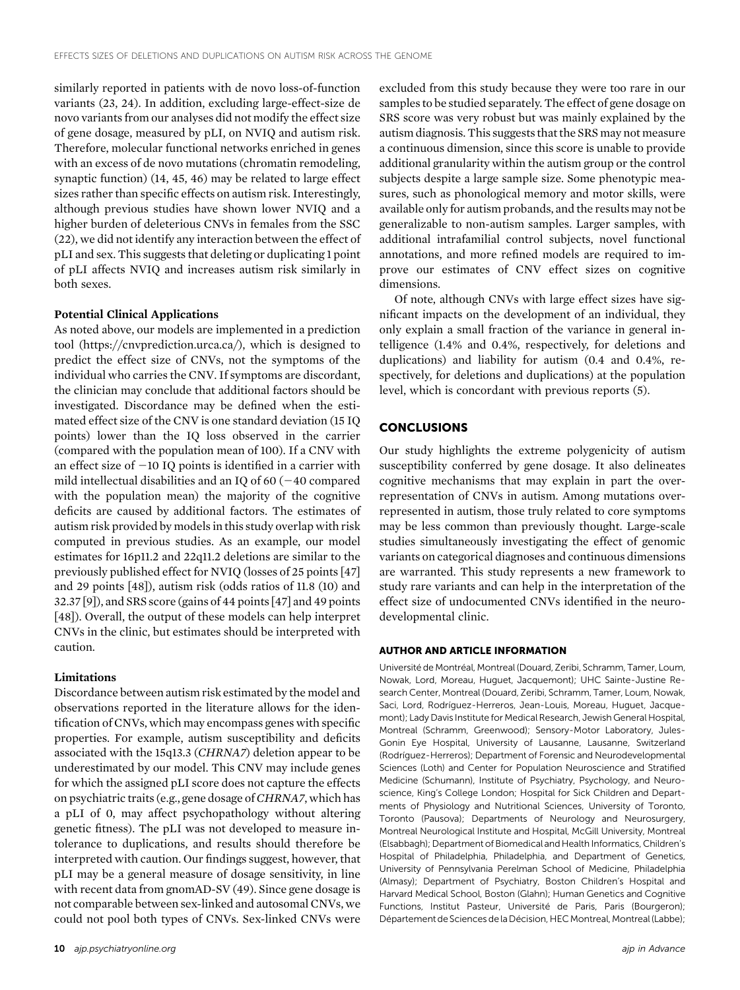similarly reported in patients with de novo loss-of-function variants (23, 24). In addition, excluding large-effect-size de novo variants from our analyses did not modify the effect size of gene dosage, measured by pLI, on NVIQ and autism risk. Therefore, molecular functional networks enriched in genes with an excess of de novo mutations (chromatin remodeling, synaptic function) (14, 45, 46) may be related to large effect sizes rather than specific effects on autism risk. Interestingly, although previous studies have shown lower NVIQ and a higher burden of deleterious CNVs in females from the SSC (22), we did not identify any interaction between the effect of pLI and sex. This suggests that deleting or duplicating 1 point of pLI affects NVIQ and increases autism risk similarly in both sexes.

#### Potential Clinical Applications

As noted above, our models are implemented in a prediction tool (https://cnvprediction.urca.ca/), which is designed to predict the effect size of CNVs, not the symptoms of the individual who carries the CNV. If symptoms are discordant, the clinician may conclude that additional factors should be investigated. Discordance may be defined when the estimated effect size of the CNV is one standard deviation (15 IQ points) lower than the IQ loss observed in the carrier (compared with the population mean of 100). If a CNV with an effect size of  $-10$  IQ points is identified in a carrier with mild intellectual disabilities and an IQ of 60  $(-40$  compared with the population mean) the majority of the cognitive deficits are caused by additional factors. The estimates of autism risk provided by models in this study overlap with risk computed in previous studies. As an example, our model estimates for 16p11.2 and 22q11.2 deletions are similar to the previously published effect for NVIQ (losses of 25 points [47] and 29 points [48]), autism risk (odds ratios of 11.8 (10) and 32.37 [9]), and SRS score (gains of 44 points [47] and 49 points [48]). Overall, the output of these models can help interpret CNVs in the clinic, but estimates should be interpreted with caution.

## Limitations

Discordance between autism risk estimated by the model and observations reported in the literature allows for the identification of CNVs, which may encompass genes with specific properties. For example, autism susceptibility and deficits associated with the 15q13.3 (CHRNA7) deletion appear to be underestimated by our model. This CNV may include genes for which the assigned pLI score does not capture the effects on psychiatric traits (e.g., gene dosage of CHRNA7, which has a pLI of 0, may affect psychopathology without altering genetic fitness). The pLI was not developed to measure intolerance to duplications, and results should therefore be interpreted with caution. Our findings suggest, however, that pLI may be a general measure of dosage sensitivity, in line with recent data from gnomAD-SV (49). Since gene dosage is not comparable between sex-linked and autosomal CNVs, we could not pool both types of CNVs. Sex-linked CNVs were excluded from this study because they were too rare in our samples to be studied separately. The effect of gene dosage on SRS score was very robust but was mainly explained by the autism diagnosis. This suggests that the SRS may not measure a continuous dimension, since this score is unable to provide additional granularity within the autism group or the control subjects despite a large sample size. Some phenotypic measures, such as phonological memory and motor skills, were available only for autism probands, and the results may not be generalizable to non-autism samples. Larger samples, with additional intrafamilial control subjects, novel functional annotations, and more refined models are required to improve our estimates of CNV effect sizes on cognitive dimensions.

Of note, although CNVs with large effect sizes have significant impacts on the development of an individual, they only explain a small fraction of the variance in general intelligence (1.4% and 0.4%, respectively, for deletions and duplications) and liability for autism (0.4 and 0.4%, respectively, for deletions and duplications) at the population level, which is concordant with previous reports (5).

## **CONCLUSIONS**

Our study highlights the extreme polygenicity of autism susceptibility conferred by gene dosage. It also delineates cognitive mechanisms that may explain in part the overrepresentation of CNVs in autism. Among mutations overrepresented in autism, those truly related to core symptoms may be less common than previously thought. Large-scale studies simultaneously investigating the effect of genomic variants on categorical diagnoses and continuous dimensions are warranted. This study represents a new framework to study rare variants and can help in the interpretation of the effect size of undocumented CNVs identified in the neurodevelopmental clinic.

#### AUTHOR AND ARTICLE INFORMATION

Université de Montréal, Montreal (Douard, Zeribi, Schramm, Tamer, Loum, Nowak, Lord, Moreau, Huguet, Jacquemont); UHC Sainte-Justine Research Center, Montreal (Douard, Zeribi, Schramm, Tamer, Loum, Nowak, Saci, Lord, Rodríguez-Herreros, Jean-Louis, Moreau, Huguet, Jacquemont); Lady Davis Institute for Medical Research, Jewish General Hospital, Montreal (Schramm, Greenwood); Sensory-Motor Laboratory, Jules-Gonin Eye Hospital, University of Lausanne, Lausanne, Switzerland (Rodríguez-Herreros); Department of Forensic and Neurodevelopmental Sciences (Loth) and Center for Population Neuroscience and Stratified Medicine (Schumann), Institute of Psychiatry, Psychology, and Neuroscience, King's College London; Hospital for Sick Children and Departments of Physiology and Nutritional Sciences, University of Toronto, Toronto (Pausova); Departments of Neurology and Neurosurgery, Montreal Neurological Institute and Hospital, McGill University, Montreal (Elsabbagh); Department of Biomedical and Health Informatics, Children's Hospital of Philadelphia, Philadelphia, and Department of Genetics, University of Pennsylvania Perelman School of Medicine, Philadelphia (Almasy); Department of Psychiatry, Boston Children's Hospital and Harvard Medical School, Boston (Glahn); Human Genetics and Cognitive Functions, Institut Pasteur, Université de Paris, Paris (Bourgeron); Département de Sciences de la Décision, HEC Montreal, Montreal (Labbe);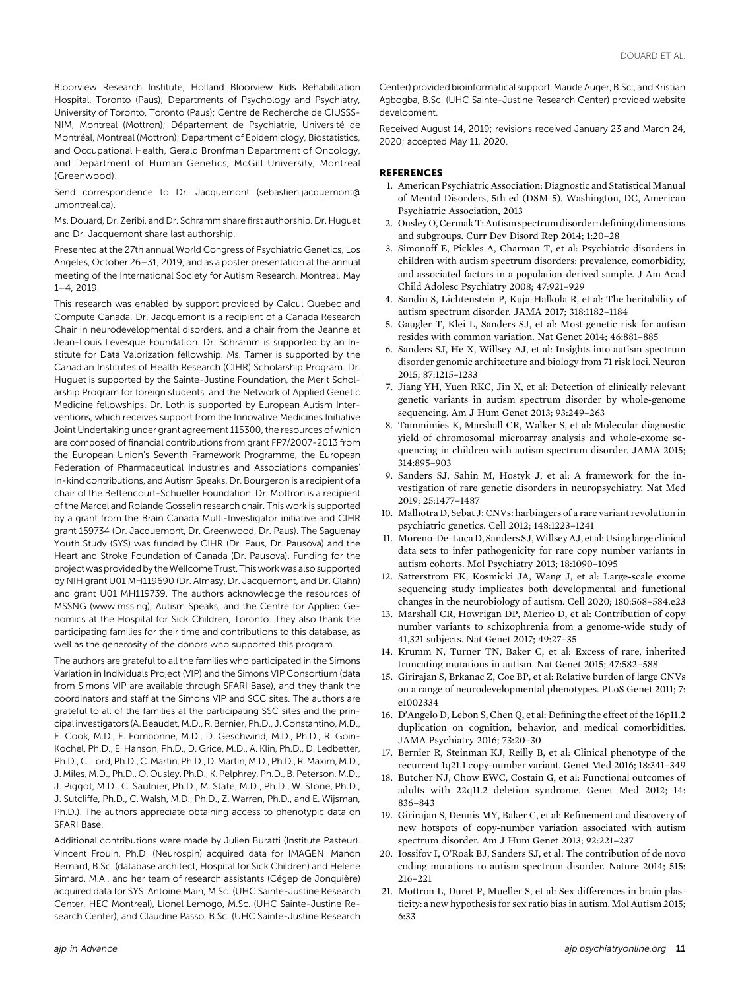Bloorview Research Institute, Holland Bloorview Kids Rehabilitation Hospital, Toronto (Paus); Departments of Psychology and Psychiatry, University of Toronto, Toronto (Paus); Centre de Recherche de CIUSSS-NIM, Montreal (Mottron); Département de Psychiatrie, Université de Montréal, Montreal (Mottron); Department of Epidemiology, Biostatistics, and Occupational Health, Gerald Bronfman Department of Oncology, and Department of Human Genetics, McGill University, Montreal (Greenwood).

Send correspondence to Dr. Jacquemont (sebastien.jacquemont@ umontreal.ca).

Ms. Douard, Dr. Zeribi, and Dr. Schramm share first authorship. Dr. Huguet and Dr. Jacquemont share last authorship.

Presented at the 27th annual World Congress of Psychiatric Genetics, Los Angeles, October 26–31, 2019, and as a poster presentation at the annual meeting of the International Society for Autism Research, Montreal, May 1–4, 2019.

This research was enabled by support provided by Calcul Quebec and Compute Canada. Dr. Jacquemont is a recipient of a Canada Research Chair in neurodevelopmental disorders, and a chair from the Jeanne et Jean-Louis Levesque Foundation. Dr. Schramm is supported by an Institute for Data Valorization fellowship. Ms. Tamer is supported by the Canadian Institutes of Health Research (CIHR) Scholarship Program. Dr. Huguet is supported by the Sainte-Justine Foundation, the Merit Scholarship Program for foreign students, and the Network of Applied Genetic Medicine fellowships. Dr. Loth is supported by European Autism Interventions, which receives support from the Innovative Medicines Initiative Joint Undertaking under grant agreement 115300, the resources of which are composed of financial contributions from grant FP7/2007-2013 from the European Union's Seventh Framework Programme, the European Federation of Pharmaceutical Industries and Associations companies' in-kind contributions, and Autism Speaks. Dr. Bourgeron is a recipient of a chair of the Bettencourt-Schueller Foundation. Dr. Mottron is a recipient of the Marcel and Rolande Gosselin research chair. This work is supported by a grant from the Brain Canada Multi-Investigator initiative and CIHR grant 159734 (Dr. Jacquemont, Dr. Greenwood, Dr. Paus). The Saguenay Youth Study (SYS) was funded by CIHR (Dr. Paus, Dr. Pausova) and the Heart and Stroke Foundation of Canada (Dr. Pausova). Funding for the project was provided by theWellcome Trust. This work was also supported by NIH grant U01 MH119690 (Dr. Almasy, Dr. Jacquemont, and Dr. Glahn) and grant U01 MH119739. The authors acknowledge the resources of MSSNG (www.mss.ng), Autism Speaks, and the Centre for Applied Genomics at the Hospital for Sick Children, Toronto. They also thank the participating families for their time and contributions to this database, as well as the generosity of the donors who supported this program.

The authors are grateful to all the families who participated in the Simons Variation in Individuals Project (VIP) and the Simons VIP Consortium (data from Simons VIP are available through SFARI Base), and they thank the coordinators and staff at the Simons VIP and SCC sites. The authors are grateful to all of the families at the participating SSC sites and the principal investigators (A. Beaudet,M.D., R. Bernier, Ph.D., J. Constantino, M.D., E. Cook, M.D., E. Fombonne, M.D., D. Geschwind, M.D., Ph.D., R. Goin-Kochel, Ph.D., E. Hanson, Ph.D., D. Grice, M.D., A. Klin, Ph.D., D. Ledbetter, Ph.D., C. Lord, Ph.D., C. Martin, Ph.D., D. Martin, M.D., Ph.D., R. Maxim, M.D., J. Miles, M.D., Ph.D., O. Ousley, Ph.D., K. Pelphrey, Ph.D., B. Peterson, M.D., J. Piggot, M.D., C. Saulnier, Ph.D., M. State, M.D., Ph.D., W. Stone, Ph.D., J. Sutcliffe, Ph.D., C. Walsh, M.D., Ph.D., Z. Warren, Ph.D., and E. Wijsman, Ph.D.). The authors appreciate obtaining access to phenotypic data on SFARI Base.

Additional contributions were made by Julien Buratti (Institute Pasteur). Vincent Frouin, Ph.D. (Neurospin) acquired data for IMAGEN. Manon Bernard, B.Sc. (database architect, Hospital for Sick Children) and Helene Simard, M.A., and her team of research assistants (Cégep de Jonquière) acquired data for SYS. Antoine Main, M.Sc. (UHC Sainte-Justine Research Center, HEC Montreal), Lionel Lemogo, M.Sc. (UHC Sainte-Justine Research Center), and Claudine Passo, B.Sc. (UHC Sainte-Justine Research Center) provided bioinformatical support. Maude Auger, B.Sc., and Kristian Agbogba, B.Sc. (UHC Sainte-Justine Research Center) provided website development.

Received August 14, 2019; revisions received January 23 and March 24, 2020; accepted May 11, 2020.

## **REFERENCES**

- 1. American Psychiatric Association: Diagnostic and Statistical Manual of Mental Disorders, 5th ed (DSM-5). Washington, DC, American Psychiatric Association, 2013
- 2. Ousley O, Cermak T: Autism spectrum disorder: defining dimensions and subgroups. Curr Dev Disord Rep 2014; 1:20–28
- 3. Simonoff E, Pickles A, Charman T, et al: Psychiatric disorders in children with autism spectrum disorders: prevalence, comorbidity, and associated factors in a population-derived sample. J Am Acad Child Adolesc Psychiatry 2008; 47:921–929
- 4. Sandin S, Lichtenstein P, Kuja-Halkola R, et al: The heritability of autism spectrum disorder. JAMA 2017; 318:1182–1184
- 5. Gaugler T, Klei L, Sanders SJ, et al: Most genetic risk for autism resides with common variation. Nat Genet 2014; 46:881–885
- 6. Sanders SJ, He X, Willsey AJ, et al: Insights into autism spectrum disorder genomic architecture and biology from 71 risk loci. Neuron 2015; 87:1215–1233
- 7. Jiang YH, Yuen RKC, Jin X, et al: Detection of clinically relevant genetic variants in autism spectrum disorder by whole-genome sequencing. Am J Hum Genet 2013; 93:249–263
- 8. Tammimies K, Marshall CR, Walker S, et al: Molecular diagnostic yield of chromosomal microarray analysis and whole-exome sequencing in children with autism spectrum disorder. JAMA 2015; 314:895–903
- 9. Sanders SJ, Sahin M, Hostyk J, et al: A framework for the investigation of rare genetic disorders in neuropsychiatry. Nat Med 2019; 25:1477–1487
- 10. Malhotra D, Sebat J: CNVs: harbingers of a rare variant revolution in psychiatric genetics. Cell 2012; 148:1223–1241
- 11. Moreno-De-Luca D, Sanders SJ,WillseyAJ, et al: Usinglarge clinical data sets to infer pathogenicity for rare copy number variants in autism cohorts. Mol Psychiatry 2013; 18:1090–1095
- 12. Satterstrom FK, Kosmicki JA, Wang J, et al: Large-scale exome sequencing study implicates both developmental and functional changes in the neurobiology of autism. Cell 2020; 180:568–584.e23
- 13. Marshall CR, Howrigan DP, Merico D, et al: Contribution of copy number variants to schizophrenia from a genome-wide study of 41,321 subjects. Nat Genet 2017; 49:27–35
- 14. Krumm N, Turner TN, Baker C, et al: Excess of rare, inherited truncating mutations in autism. Nat Genet 2015; 47:582–588
- 15. Girirajan S, Brkanac Z, Coe BP, et al: Relative burden of large CNVs on a range of neurodevelopmental phenotypes. PLoS Genet 2011; 7: e1002334
- 16. D'Angelo D, Lebon S, Chen Q, et al: Defining the effect of the 16p11.2 duplication on cognition, behavior, and medical comorbidities. JAMA Psychiatry 2016; 73:20–30
- 17. Bernier R, Steinman KJ, Reilly B, et al: Clinical phenotype of the recurrent 1q21.1 copy-number variant. Genet Med 2016; 18:341–349
- 18. Butcher NJ, Chow EWC, Costain G, et al: Functional outcomes of adults with 22q11.2 deletion syndrome. Genet Med 2012; 14: 836–843
- 19. Girirajan S, Dennis MY, Baker C, et al: Refinement and discovery of new hotspots of copy-number variation associated with autism spectrum disorder. Am J Hum Genet 2013; 92:221–237
- 20. Iossifov I, O'Roak BJ, Sanders SJ, et al: The contribution of de novo coding mutations to autism spectrum disorder. Nature 2014; 515: 216–221
- 21. Mottron L, Duret P, Mueller S, et al: Sex differences in brain plasticity: a new hypothesis for sex ratio bias in autism.Mol Autism 2015; 6:33